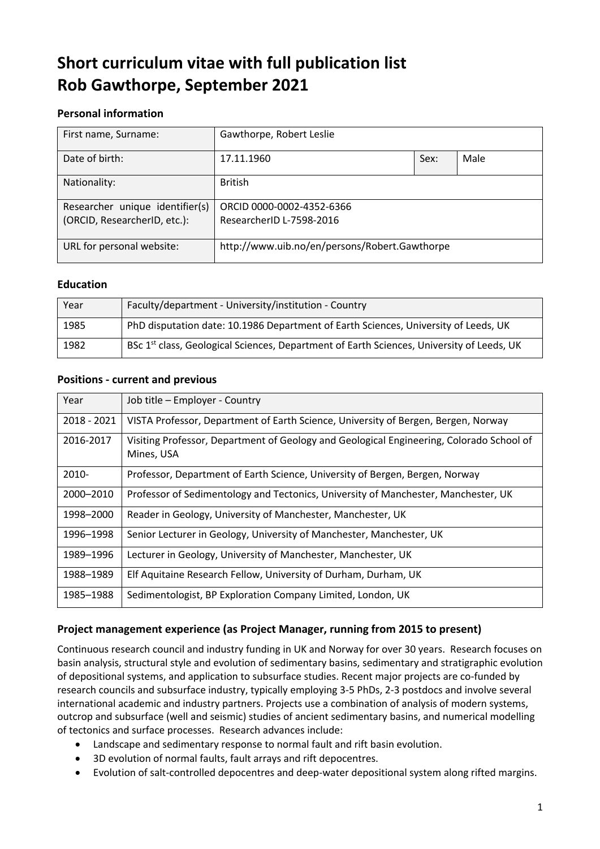# **Short curriculum vitae with full publication list Rob Gawthorpe, September 2021**

# **Personal information**

| First name, Surname:            | Gawthorpe, Robert Leslie                      |      |      |
|---------------------------------|-----------------------------------------------|------|------|
| Date of birth:                  | 17.11.1960                                    | Sex: | Male |
| Nationality:                    | <b>British</b>                                |      |      |
| Researcher unique identifier(s) | ORCID 0000-0002-4352-6366                     |      |      |
| (ORCID, ResearcherID, etc.):    | ResearcherID L-7598-2016                      |      |      |
| URL for personal website:       | http://www.uib.no/en/persons/Robert.Gawthorpe |      |      |

## **Education**

| Year | Faculty/department - University/institution - Country                                                 |
|------|-------------------------------------------------------------------------------------------------------|
| 1985 | PhD disputation date: 10.1986 Department of Earth Sciences, University of Leeds, UK                   |
| 1982 | BSc 1 <sup>st</sup> class, Geological Sciences, Department of Earth Sciences, University of Leeds, UK |

# **Positions - current and previous**

| Year          | Job title - Employer - Country                                                                         |
|---------------|--------------------------------------------------------------------------------------------------------|
| $2018 - 2021$ | VISTA Professor, Department of Earth Science, University of Bergen, Bergen, Norway                     |
| 2016-2017     | Visiting Professor, Department of Geology and Geological Engineering, Colorado School of<br>Mines, USA |
| 2010-         | Professor, Department of Earth Science, University of Bergen, Bergen, Norway                           |
| 2000-2010     | Professor of Sedimentology and Tectonics, University of Manchester, Manchester, UK                     |
| 1998-2000     | Reader in Geology, University of Manchester, Manchester, UK                                            |
| 1996-1998     | Senior Lecturer in Geology, University of Manchester, Manchester, UK                                   |
| 1989-1996     | Lecturer in Geology, University of Manchester, Manchester, UK                                          |
| 1988-1989     | Elf Aquitaine Research Fellow, University of Durham, Durham, UK                                        |
| 1985-1988     | Sedimentologist, BP Exploration Company Limited, London, UK                                            |

# **Project management experience (as Project Manager, running from 2015 to present)**

Continuous research council and industry funding in UK and Norway for over 30 years. Research focuses on basin analysis, structural style and evolution of sedimentary basins, sedimentary and stratigraphic evolution of depositional systems, and application to subsurface studies. Recent major projects are co-funded by research councils and subsurface industry, typically employing 3-5 PhDs, 2-3 postdocs and involve several international academic and industry partners. Projects use a combination of analysis of modern systems, outcrop and subsurface (well and seismic) studies of ancient sedimentary basins, and numerical modelling of tectonics and surface processes. Research advances include:

- Landscape and sedimentary response to normal fault and rift basin evolution.
- 3D evolution of normal faults, fault arrays and rift depocentres.
- Evolution of salt-controlled depocentres and deep-water depositional system along rifted margins.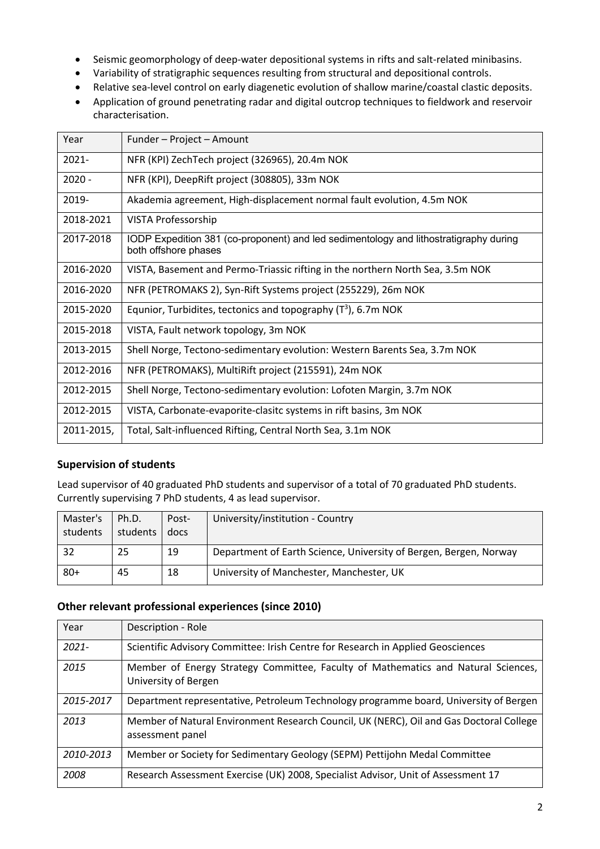- Seismic geomorphology of deep-water depositional systems in rifts and salt-related minibasins.
- Variability of stratigraphic sequences resulting from structural and depositional controls.
- Relative sea-level control on early diagenetic evolution of shallow marine/coastal clastic deposits.
- Application of ground penetrating radar and digital outcrop techniques to fieldwork and reservoir characterisation.

| Year       | Funder - Project - Amount                                                                                     |
|------------|---------------------------------------------------------------------------------------------------------------|
| 2021-      | NFR (KPI) ZechTech project (326965), 20.4m NOK                                                                |
| $2020 -$   | NFR (KPI), DeepRift project (308805), 33m NOK                                                                 |
| 2019-      | Akademia agreement, High-displacement normal fault evolution, 4.5m NOK                                        |
| 2018-2021  | VISTA Professorship                                                                                           |
| 2017-2018  | IODP Expedition 381 (co-proponent) and led sedimentology and lithostratigraphy during<br>both offshore phases |
| 2016-2020  | VISTA, Basement and Permo-Triassic rifting in the northern North Sea, 3.5m NOK                                |
| 2016-2020  | NFR (PETROMAKS 2), Syn-Rift Systems project (255229), 26m NOK                                                 |
| 2015-2020  | Equnior, Turbidites, tectonics and topography $(T^3)$ , 6.7m NOK                                              |
| 2015-2018  | VISTA, Fault network topology, 3m NOK                                                                         |
| 2013-2015  | Shell Norge, Tectono-sedimentary evolution: Western Barents Sea, 3.7m NOK                                     |
| 2012-2016  | NFR (PETROMAKS), MultiRift project (215591), 24m NOK                                                          |
| 2012-2015  | Shell Norge, Tectono-sedimentary evolution: Lofoten Margin, 3.7m NOK                                          |
| 2012-2015  | VISTA, Carbonate-evaporite-clasitc systems in rift basins, 3m NOK                                             |
| 2011-2015, | Total, Salt-influenced Rifting, Central North Sea, 3.1m NOK                                                   |

## **Supervision of students**

Lead supervisor of 40 graduated PhD students and supervisor of a total of 70 graduated PhD students. Currently supervising 7 PhD students, 4 as lead supervisor.

| Master's<br>students | Ph.D.<br>students | Post-<br>docs | University/institution - Country                                  |
|----------------------|-------------------|---------------|-------------------------------------------------------------------|
| 32                   | 25                | 19            | Department of Earth Science, University of Bergen, Bergen, Norway |
| $80+$                | 45                | 18            | University of Manchester, Manchester, UK                          |

## **Other relevant professional experiences (since 2010)**

| Year      | Description - Role                                                                                          |
|-----------|-------------------------------------------------------------------------------------------------------------|
| $2021 -$  | Scientific Advisory Committee: Irish Centre for Research in Applied Geosciences                             |
| 2015      | Member of Energy Strategy Committee, Faculty of Mathematics and Natural Sciences,<br>University of Bergen   |
| 2015-2017 | Department representative, Petroleum Technology programme board, University of Bergen                       |
| 2013      | Member of Natural Environment Research Council, UK (NERC), Oil and Gas Doctoral College<br>assessment panel |
| 2010-2013 | Member or Society for Sedimentary Geology (SEPM) Pettijohn Medal Committee                                  |
| 2008      | Research Assessment Exercise (UK) 2008, Specialist Advisor, Unit of Assessment 17                           |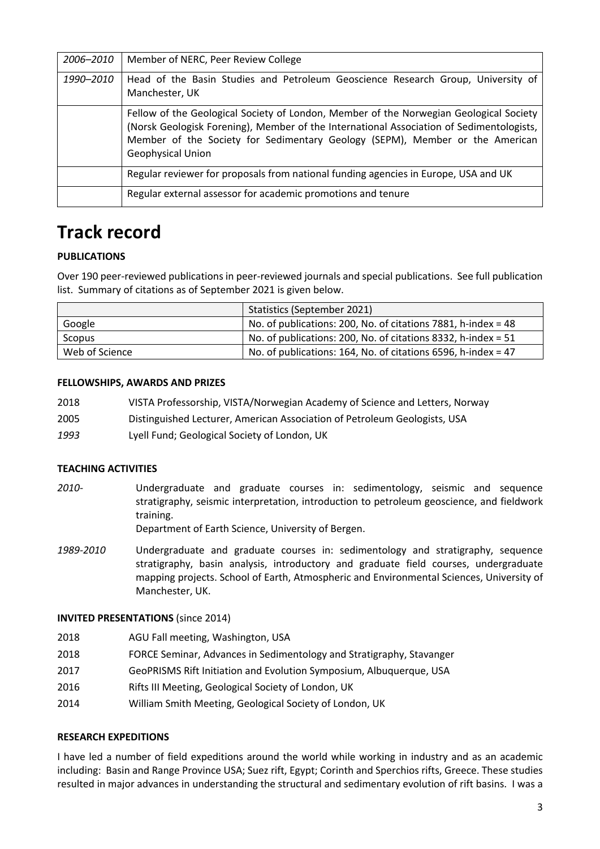| 2006-2010 | Member of NERC, Peer Review College                                                                                                                                                                                                                                                     |
|-----------|-----------------------------------------------------------------------------------------------------------------------------------------------------------------------------------------------------------------------------------------------------------------------------------------|
| 1990-2010 | Head of the Basin Studies and Petroleum Geoscience Research Group, University of<br>Manchester, UK                                                                                                                                                                                      |
|           | Fellow of the Geological Society of London, Member of the Norwegian Geological Society<br>(Norsk Geologisk Forening), Member of the International Association of Sedimentologists,<br>Member of the Society for Sedimentary Geology (SEPM), Member or the American<br>Geophysical Union |
|           | Regular reviewer for proposals from national funding agencies in Europe, USA and UK                                                                                                                                                                                                     |
|           | Regular external assessor for academic promotions and tenure                                                                                                                                                                                                                            |

# **Track record**

## **PUBLICATIONS**

Over 190 peer-reviewed publications in peer-reviewed journals and special publications. See full publication list. Summary of citations as of September 2021 is given below.

|                | Statistics (September 2021)                                     |
|----------------|-----------------------------------------------------------------|
| Google         | No. of publications: 200, No. of citations 7881, h-index = 48   |
| Scopus         | No. of publications: 200, No. of citations 8332, h-index = $51$ |
| Web of Science | No. of publications: 164, No. of citations 6596, h-index = 47   |

#### **FELLOWSHIPS, AWARDS AND PRIZES**

- 2018 VISTA Professorship, VISTA/Norwegian Academy of Science and Letters, Norway
- 2005 Distinguished Lecturer, American Association of Petroleum Geologists, USA
- *1993* Lyell Fund; Geological Society of London, UK

#### **TEACHING ACTIVITIES**

*2010-* Undergraduate and graduate courses in: sedimentology, seismic and sequence stratigraphy, seismic interpretation, introduction to petroleum geoscience, and fieldwork training.

Department of Earth Science, University of Bergen.

*1989-2010* Undergraduate and graduate courses in: sedimentology and stratigraphy, sequence stratigraphy, basin analysis, introductory and graduate field courses, undergraduate mapping projects. School of Earth, Atmospheric and Environmental Sciences, University of Manchester, UK.

#### **INVITED PRESENTATIONS** (since 2014)

- 2018 AGU Fall meeting, Washington, USA
- 2018 FORCE Seminar, Advances in Sedimentology and Stratigraphy, Stavanger
- 2017 GeoPRISMS Rift Initiation and Evolution Symposium, Albuquerque, USA
- 2016 Rifts III Meeting, Geological Society of London, UK
- 2014 William Smith Meeting, Geological Society of London, UK

#### **RESEARCH EXPEDITIONS**

I have led a number of field expeditions around the world while working in industry and as an academic including: Basin and Range Province USA; Suez rift, Egypt; Corinth and Sperchios rifts, Greece. These studies resulted in major advances in understanding the structural and sedimentary evolution of rift basins. I was a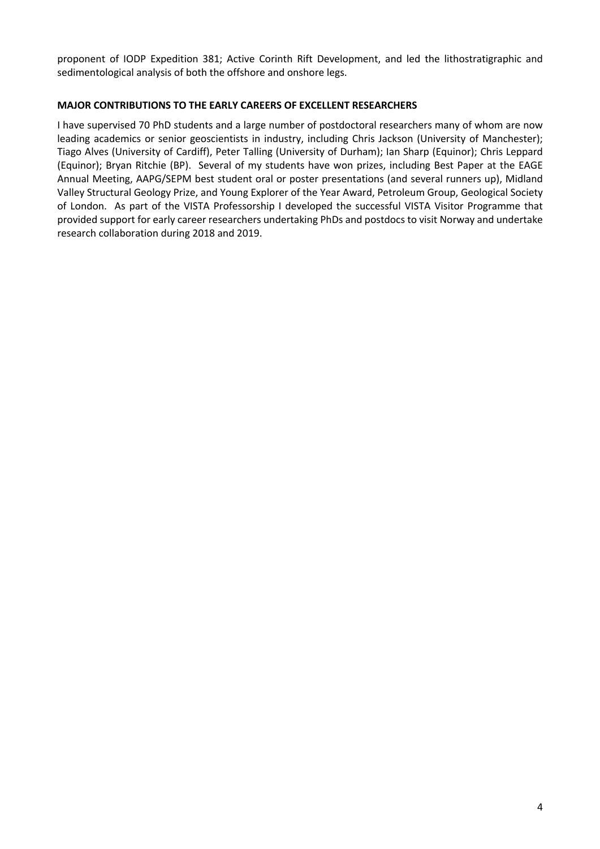proponent of IODP Expedition 381; Active Corinth Rift Development, and led the lithostratigraphic and sedimentological analysis of both the offshore and onshore legs.

### **MAJOR CONTRIBUTIONS TO THE EARLY CAREERS OF EXCELLENT RESEARCHERS**

I have supervised 70 PhD students and a large number of postdoctoral researchers many of whom are now leading academics or senior geoscientists in industry, including Chris Jackson (University of Manchester); Tiago Alves (University of Cardiff), Peter Talling (University of Durham); Ian Sharp (Equinor); Chris Leppard (Equinor); Bryan Ritchie (BP). Several of my students have won prizes, including Best Paper at the EAGE Annual Meeting, AAPG/SEPM best student oral or poster presentations (and several runners up), Midland Valley Structural Geology Prize, and Young Explorer of the Year Award, Petroleum Group, Geological Society of London. As part of the VISTA Professorship I developed the successful VISTA Visitor Programme that provided support for early career researchers undertaking PhDs and postdocs to visit Norway and undertake research collaboration during 2018 and 2019.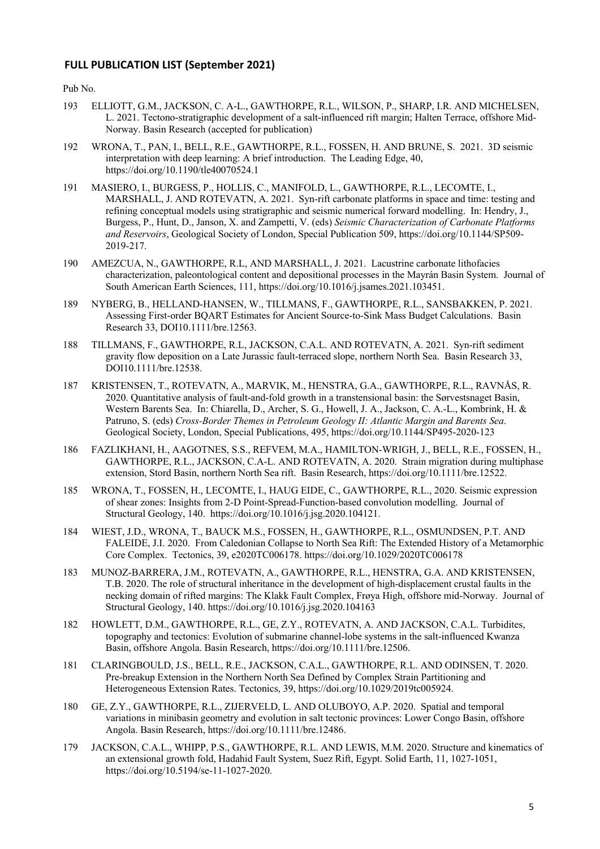#### **FULL PUBLICATION LIST (September 2021)**

Pub No.

- 193 ELLIOTT, G.M., JACKSON, C. A-L., GAWTHORPE, R.L., WILSON, P., SHARP, I.R. AND MICHELSEN, L. 2021. Tectono-stratigraphic development of a salt-influenced rift margin; Halten Terrace, offshore Mid-Norway. Basin Research (accepted for publication)
- 192 WRONA, T., PAN, I., BELL, R.E., GAWTHORPE, R.L., FOSSEN, H. AND BRUNE, S. 2021. 3D seismic interpretation with deep learning: A brief introduction. The Leading Edge, 40, https://doi.org/10.1190/tle40070524.1
- 191 MASIERO, I., BURGESS, P., HOLLIS, C., MANIFOLD, L., GAWTHORPE, R.L., LECOMTE, I., MARSHALL, J. AND ROTEVATN, A. 2021. Syn-rift carbonate platforms in space and time: testing and refining conceptual models using stratigraphic and seismic numerical forward modelling. In: Hendry, J., Burgess, P., Hunt, D., Janson, X. and Zampetti, V. (eds) *Seismic Characterization of Carbonate Platforms and Reservoirs*, Geological Society of London, Special Publication 509, https://doi.org/10.1144/SP509- 2019-217.
- 190 AMEZCUA, N., GAWTHORPE, R.L, AND MARSHALL, J. 2021. Lacustrine carbonate lithofacies characterization, paleontological content and depositional processes in the Mayrán Basin System. Journal of South American Earth Sciences, 111, https://doi.org/10.1016/j.jsames.2021.103451.
- 189 NYBERG, B., HELLAND-HANSEN, W., TILLMANS, F., GAWTHORPE, R.L., SANSBAKKEN, P. 2021. Assessing First-order BQART Estimates for Ancient Source-to-Sink Mass Budget Calculations. Basin Research 33, DOI10.1111/bre.12563.
- 188 TILLMANS, F., GAWTHORPE, R.L, JACKSON, C.A.L. AND ROTEVATN, A. 2021. Syn-rift sediment gravity flow deposition on a Late Jurassic fault-terraced slope, northern North Sea. Basin Research 33, DOI10.1111/bre.12538.
- 187 KRISTENSEN, T., ROTEVATN, A., MARVIK, M., HENSTRA, G.A., GAWTHORPE, R.L., RAVNÅS, R. 2020. Quantitative analysis of fault-and-fold growth in a transtensional basin: the Sørvestsnaget Basin, Western Barents Sea. In: Chiarella, D., Archer, S. G., Howell, J. A., Jackson, C. A.-L., Kombrink, H. & Patruno, S. (eds) *Cross-Border Themes in Petroleum Geology II: Atlantic Margin and Barents Sea*. Geological Society, London, Special Publications, 495, https://doi.org/10.1144/SP495-2020-123
- 186 FAZLIKHANI, H., AAGOTNES, S.S., REFVEM, M.A., HAMILTON-WRIGH, J., BELL, R.E., FOSSEN, H., GAWTHORPE, R.L., JACKSON, C.A-L. AND ROTEVATN, A. 2020. Strain migration during multiphase extension, Stord Basin, northern North Sea rift. Basin Research, https://doi.org/10.1111/bre.12522.
- 185 WRONA, T., FOSSEN, H., LECOMTE, I., HAUG EIDE, C., GAWTHORPE, R.L., 2020. Seismic expression of shear zones: Insights from 2-D Point-Spread-Function-based convolution modelling. Journal of Structural Geology, 140. https://doi.org/10.1016/j.jsg.2020.104121.
- 184 WIEST, J.D., WRONA, T., BAUCK M.S., FOSSEN, H., GAWTHORPE, R.L., OSMUNDSEN, P.T. AND FALEIDE, J.I. 2020. From Caledonian Collapse to North Sea Rift: The Extended History of a Metamorphic Core Complex. Tectonics, 39, e2020TC006178. https://doi.org/10.1029/2020TC006178
- 183 MUNOZ-BARRERA, J.M., ROTEVATN, A., GAWTHORPE, R.L., HENSTRA, G.A. AND KRISTENSEN, T.B. 2020. The role of structural inheritance in the development of high-displacement crustal faults in the necking domain of rifted margins: The Klakk Fault Complex, Frøya High, offshore mid-Norway. Journal of Structural Geology, 140. https://doi.org/10.1016/j.jsg.2020.104163
- 182 HOWLETT, D.M., GAWTHORPE, R.L., GE, Z.Y., ROTEVATN, A. AND JACKSON, C.A.L. Turbidites, topography and tectonics: Evolution of submarine channel-lobe systems in the salt-influenced Kwanza Basin, offshore Angola. Basin Research, https://doi.org/10.1111/bre.12506.
- 181 CLARINGBOULD, J.S., BELL, R.E., JACKSON, C.A.L., GAWTHORPE, R.L. AND ODINSEN, T. 2020. Pre-breakup Extension in the Northern North Sea Defined by Complex Strain Partitioning and Heterogeneous Extension Rates. Tectonics, 39, https://doi.org/10.1029/2019tc005924.
- 180 GE, Z.Y., GAWTHORPE, R.L., ZIJERVELD, L. AND OLUBOYO, A.P. 2020. Spatial and temporal variations in minibasin geometry and evolution in salt tectonic provinces: Lower Congo Basin, offshore Angola. Basin Research, https://doi.org/10.1111/bre.12486.
- 179 JACKSON, C.A.L., WHIPP, P.S., GAWTHORPE, R.L. AND LEWIS, M.M. 2020. Structure and kinematics of an extensional growth fold, Hadahid Fault System, Suez Rift, Egypt. Solid Earth, 11, 1027-1051, https://doi.org/10.5194/se-11-1027-2020.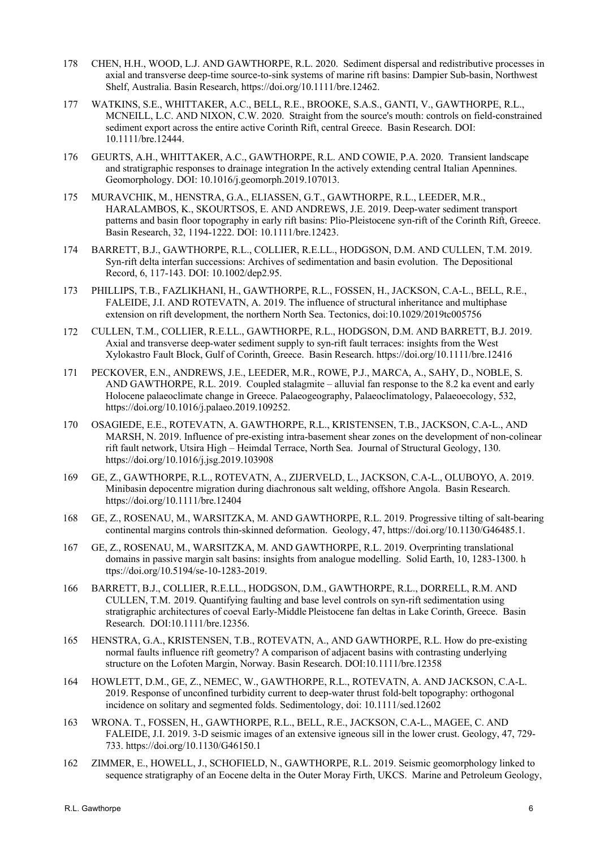- 178 CHEN, H.H., WOOD, L.J. AND GAWTHORPE, R.L. 2020. Sediment dispersal and redistributive processes in axial and transverse deep-time source-to-sink systems of marine rift basins: Dampier Sub-basin, Northwest Shelf, Australia. Basin Research, https://doi.org/10.1111/bre.12462.
- 177 WATKINS, S.E., WHITTAKER, A.C., BELL, R.E., BROOKE, S.A.S., GANTI, V., GAWTHORPE, R.L., MCNEILL, L.C. AND NIXON, C.W. 2020. Straight from the source's mouth: controls on field-constrained sediment export across the entire active Corinth Rift, central Greece. Basin Research. DOI: 10.1111/bre.12444.
- 176 GEURTS, A.H., WHITTAKER, A.C., GAWTHORPE, R.L. AND COWIE, P.A. 2020. Transient landscape and stratigraphic responses to drainage integration In the actively extending central Italian Apennines. Geomorphology. DOI: 10.1016/j.geomorph.2019.107013.
- 175 MURAVCHIK, M., HENSTRA, G.A., ELIASSEN, G.T., GAWTHORPE, R.L., LEEDER, M.R., HARALAMBOS, K., SKOURTSOS, E. AND ANDREWS, J.E. 2019. Deep-water sediment transport patterns and basin floor topography in early rift basins: Plio-Pleistocene syn-rift of the Corinth Rift, Greece. Basin Research, 32, 1194-1222. DOI: 10.1111/bre.12423.
- 174 BARRETT, B.J., GAWTHORPE, R.L., COLLIER, R.E.LL., HODGSON, D.M. AND CULLEN, T.M. 2019. Syn‐rift delta interfan successions: Archives of sedimentation and basin evolution. The Depositional Record, 6, 117-143. DOI: 10.1002/dep2.95.
- 173 PHILLIPS, T.B., FAZLIKHANI, H., GAWTHORPE, R.L., FOSSEN, H., JACKSON, C.A-L., BELL, R.E., FALEIDE, J.I. AND ROTEVATN, A. 2019. The influence of structural inheritance and multiphase extension on rift development, the northern North Sea. Tectonics, doi:10.1029/2019tc005756
- 172 CULLEN, T.M., COLLIER, R.E.LL., GAWTHORPE, R.L., HODGSON, D.M. AND BARRETT, B.J. 2019. Axial and transverse deep-water sediment supply to syn-rift fault terraces: insights from the West Xylokastro Fault Block, Gulf of Corinth, Greece. Basin Research. https://doi.org/10.1111/bre.12416
- 171 PECKOVER, E.N., ANDREWS, J.E., LEEDER, M.R., ROWE, P.J., MARCA, A., SAHY, D., NOBLE, S. AND GAWTHORPE, R.L. 2019. Coupled stalagmite – alluvial fan response to the 8.2 ka event and early Holocene palaeoclimate change in Greece. Palaeogeography, Palaeoclimatology, Palaeoecology, 532, https://doi.org/10.1016/j.palaeo.2019.109252.
- 170 OSAGIEDE, E.E., ROTEVATN, A. GAWTHORPE, R.L., KRISTENSEN, T.B., JACKSON, C.A-L., AND MARSH, N. 2019. Influence of pre-existing intra-basement shear zones on the development of non-colinear rift fault network, Utsira High – Heimdal Terrace, North Sea. Journal of Structural Geology, 130. https://doi.org/10.1016/j.jsg.2019.103908
- 169 GE, Z., GAWTHORPE, R.L., ROTEVATN, A., ZIJERVELD, L., JACKSON, C.A-L., OLUBOYO, A. 2019. Minibasin depocentre migration during diachronous salt welding, offshore Angola. Basin Research. https://doi.org/10.1111/bre.12404
- 168 GE, Z., ROSENAU, M., WARSITZKA, M. AND GAWTHORPE, R.L. 2019. Progressive tilting of salt-bearing continental margins controls thin-skinned deformation. Geology, 47, https://doi.org/10.1130/G46485.1.
- 167 GE, Z., ROSENAU, M., WARSITZKA, M. AND GAWTHORPE, R.L. 2019. Overprinting translational domains in passive margin salt basins: insights from analogue modelling. Solid Earth, 10, 1283-1300. h ttps://doi.org/10.5194/se-10-1283-2019.
- 166 BARRETT, B.J., COLLIER, R.E.LL., HODGSON, D.M., GAWTHORPE, R.L., DORRELL, R.M. AND CULLEN, T.M. 2019. Quantifying faulting and base level controls on syn-rift sedimentation using stratigraphic architectures of coeval Early-Middle Pleistocene fan deltas in Lake Corinth, Greece. Basin Research. DOI:10.1111/bre.12356.
- 165 HENSTRA, G.A., KRISTENSEN, T.B., ROTEVATN, A., AND GAWTHORPE, R.L. How do pre-existing normal faults influence rift geometry? A comparison of adjacent basins with contrasting underlying structure on the Lofoten Margin, Norway. Basin Research. DOI:10.1111/bre.12358
- 164 HOWLETT, D.M., GE, Z., NEMEC, W., GAWTHORPE, R.L., ROTEVATN, A. AND JACKSON, C.A-L. 2019. Response of unconfined turbidity current to deep-water thrust fold-belt topography: orthogonal incidence on solitary and segmented folds. Sedimentology, doi: 10.1111/sed.12602
- 163 WRONA. T., FOSSEN, H., GAWTHORPE, R.L., BELL, R.E., JACKSON, C.A-L., MAGEE, C. AND FALEIDE, J.I. 2019. 3-D seismic images of an extensive igneous sill in the lower crust. Geology, 47, 729- 733. https://doi.org/10.1130/G46150.1
- 162 ZIMMER, E., HOWELL, J., SCHOFIELD, N., GAWTHORPE, R.L. 2019. Seismic geomorphology linked to sequence stratigraphy of an Eocene delta in the Outer Moray Firth, UKCS. Marine and Petroleum Geology,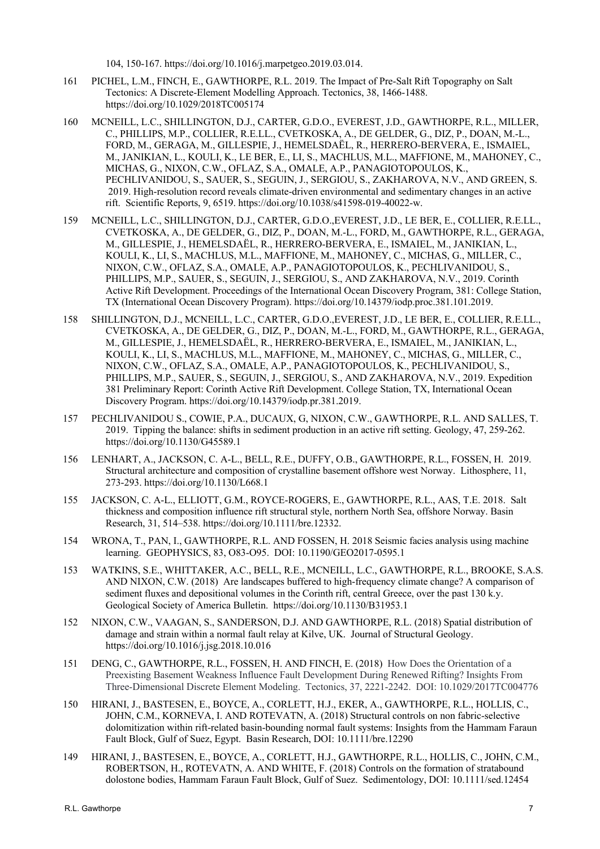104, 150-167. https://doi.org/10.1016/j.marpetgeo.2019.03.014.

- 161 PICHEL, L.M., FINCH, E., GAWTHORPE, R.L. 2019. The Impact of Pre-Salt Rift Topography on Salt Tectonics: A Discrete-Element Modelling Approach. Tectonics, 38, 1466-1488. https://doi.org/10.1029/2018TC005174
- 160 MCNEILL, L.C., SHILLINGTON, D.J., CARTER, G.D.O., EVEREST, J.D., GAWTHORPE, R.L., MILLER, C., PHILLIPS, M.P., COLLIER, R.E.LL., CVETKOSKA, A., DE GELDER, G., DIZ, P., DOAN, M.-L., FORD, M., GERAGA, M., GILLESPIE, J., HEMELSDAËL, R., HERRERO-BERVERA, E., ISMAIEL, M., JANIKIAN, L., KOULI, K., LE BER, E., LI, S., MACHLUS, M.L., MAFFIONE, M., MAHONEY, C., MICHAS, G., NIXON, C.W., OFLAZ, S.A., OMALE, A.P., PANAGIOTOPOULOS, K., PECHLIVANIDOU, S., SAUER, S., SEGUIN, J., SERGIOU, S., ZAKHAROVA, N.V., AND GREEN, S. 2019. High-resolution record reveals climate-driven environmental and sedimentary changes in an active rift. Scientific Reports, 9, 6519. https://doi.org/10.1038/s41598-019-40022-w.
- 159 MCNEILL, L.C., SHILLINGTON, D.J., CARTER, G.D.O.,EVEREST, J.D., LE BER, E., COLLIER, R.E.LL., CVETKOSKA, A., DE GELDER, G., DIZ, P., DOAN, M.-L., FORD, M., GAWTHORPE, R.L., GERAGA, M., GILLESPIE, J., HEMELSDAËL, R., HERRERO-BERVERA, E., ISMAIEL, M., JANIKIAN, L., KOULI, K., LI, S., MACHLUS, M.L., MAFFIONE, M., MAHONEY, C., MICHAS, G., MILLER, C., NIXON, C.W., OFLAZ, S.A., OMALE, A.P., PANAGIOTOPOULOS, K., PECHLIVANIDOU, S., PHILLIPS, M.P., SAUER, S., SEGUIN, J., SERGIOU, S., AND ZAKHAROVA, N.V., 2019. Corinth Active Rift Development. Proceedings of the International Ocean Discovery Program, 381: College Station, TX (International Ocean Discovery Program). https://doi.org/10.14379/iodp.proc.381.101.2019.
- 158 SHILLINGTON, D.J., MCNEILL, L.C., CARTER, G.D.O.,EVEREST, J.D., LE BER, E., COLLIER, R.E.LL., CVETKOSKA, A., DE GELDER, G., DIZ, P., DOAN, M.-L., FORD, M., GAWTHORPE, R.L., GERAGA, M., GILLESPIE, J., HEMELSDAËL, R., HERRERO-BERVERA, E., ISMAIEL, M., JANIKIAN, L., KOULI, K., LI, S., MACHLUS, M.L., MAFFIONE, M., MAHONEY, C., MICHAS, G., MILLER, C., NIXON, C.W., OFLAZ, S.A., OMALE, A.P., PANAGIOTOPOULOS, K., PECHLIVANIDOU, S., PHILLIPS, M.P., SAUER, S., SEGUIN, J., SERGIOU, S., AND ZAKHAROVA, N.V., 2019. Expedition 381 Preliminary Report: Corinth Active Rift Development. College Station, TX, International Ocean Discovery Program. https://doi.org/10.14379/iodp.pr.381.2019.
- 157 PECHLIVANIDOU S., COWIE, P.A., DUCAUX, G, NIXON, C.W., GAWTHORPE, R.L. AND SALLES, T. 2019. Tipping the balance: shifts in sediment production in an active rift setting. Geology, 47, 259-262. https://doi.org/10.1130/G45589.1
- 156 LENHART, A., JACKSON, C. A-L., BELL, R.E., DUFFY, O.B., GAWTHORPE, R.L., FOSSEN, H. 2019. Structural architecture and composition of crystalline basement offshore west Norway. Lithosphere, 11, 273-293. https://doi.org/10.1130/L668.1
- 155 JACKSON, C. A-L., ELLIOTT, G.M., ROYCE-ROGERS, E., GAWTHORPE, R.L., AAS, T.E. 2018. Salt thickness and composition influence rift structural style, northern North Sea, offshore Norway. Basin Research, 31, 514–538. https://doi.org/10.1111/bre.12332.
- 154 WRONA, T., PAN, I., GAWTHORPE, R.L. AND FOSSEN, H. 2018 Seismic facies analysis using machine learning. GEOPHYSICS, 83, O83-O95. DOI: 10.1190/GEO2017-0595.1
- 153 WATKINS, S.E., WHITTAKER, A.C., BELL, R.E., MCNEILL, L.C., GAWTHORPE, R.L., BROOKE, S.A.S. AND NIXON, C.W. (2018) Are landscapes buffered to high-frequency climate change? A comparison of sediment fluxes and depositional volumes in the Corinth rift, central Greece, over the past 130 k.y. Geological Society of America Bulletin. https://doi.org/10.1130/B31953.1
- 152 NIXON, C.W., VAAGAN, S., SANDERSON, D.J. AND GAWTHORPE, R.L. (2018) Spatial distribution of damage and strain within a normal fault relay at Kilve, UK. Journal of Structural Geology. https://doi.org/10.1016/j.jsg.2018.10.016
- 151 DENG, C., GAWTHORPE, R.L., FOSSEN, H. AND FINCH, E. (2018) How Does the Orientation of a Preexisting Basement Weakness Influence Fault Development During Renewed Rifting? Insights From Three-Dimensional Discrete Element Modeling. Tectonics, 37, 2221-2242. DOI: 10.1029/2017TC004776
- 150 HIRANI, J., BASTESEN, E., BOYCE, A., CORLETT, H.J., EKER, A., GAWTHORPE, R.L., HOLLIS, C., JOHN, C.M., KORNEVA, I. AND ROTEVATN, A. (2018) Structural controls on non fabric-selective dolomitization within rift-related basin-bounding normal fault systems: Insights from the Hammam Faraun Fault Block, Gulf of Suez, Egypt. Basin Research, DOI: 10.1111/bre.12290
- 149 HIRANI, J., BASTESEN, E., BOYCE, A., CORLETT, H.J., GAWTHORPE, R.L., HOLLIS, C., JOHN, C.M., ROBERTSON, H., ROTEVATN, A. AND WHITE, F. (2018) Controls on the formation of stratabound dolostone bodies, Hammam Faraun Fault Block, Gulf of Suez. Sedimentology, DOI: 10.1111/sed.12454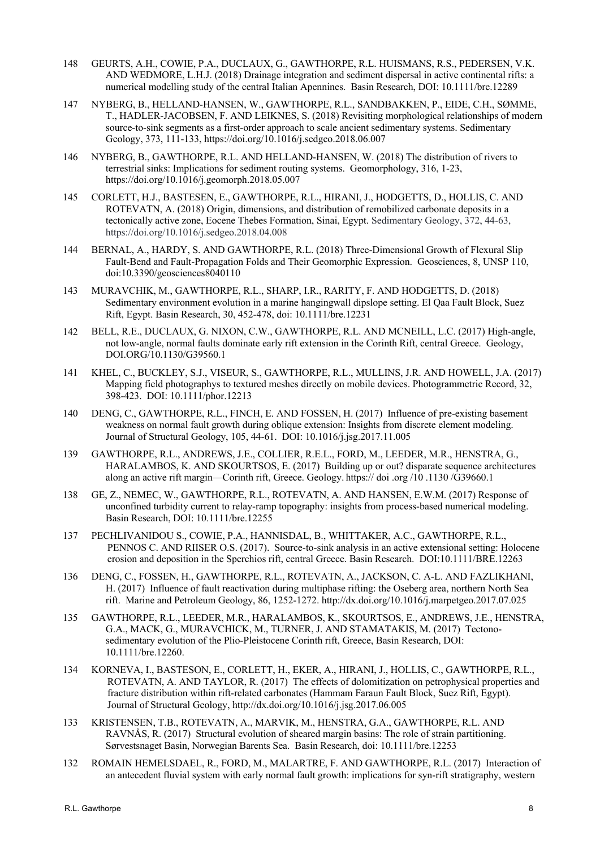- 148 GEURTS, A.H., COWIE, P.A., DUCLAUX, G., GAWTHORPE, R.L. HUISMANS, R.S., PEDERSEN, V.K. AND WEDMORE, L.H.J. (2018) Drainage integration and sediment dispersal in active continental rifts: a numerical modelling study of the central Italian Apennines. Basin Research, DOI: 10.1111/bre.12289
- 147 NYBERG, B., HELLAND-HANSEN, W., GAWTHORPE, R.L., SANDBAKKEN, P., EIDE, C.H., SØMME, T., HADLER-JACOBSEN, F. AND LEIKNES, S. (2018) Revisiting morphological relationships of modern source-to-sink segments as a first-order approach to scale ancient sedimentary systems. Sedimentary Geology, 373, 111-133, https://doi.org/10.1016/j.sedgeo.2018.06.007
- 146 NYBERG, B., GAWTHORPE, R.L. AND HELLAND-HANSEN, W. (2018) The distribution of rivers to terrestrial sinks: Implications for sediment routing systems. Geomorphology, 316, 1-23, https://doi.org/10.1016/j.geomorph.2018.05.007
- 145 CORLETT, H.J., BASTESEN, E., GAWTHORPE, R.L., HIRANI, J., HODGETTS, D., HOLLIS, C. AND ROTEVATN, A. (2018) Origin, dimensions, and distribution of remobilized carbonate deposits in a tectonically active zone, Eocene Thebes Formation, Sinai, Egypt. Sedimentary Geology, 372, 44-63, https://doi.org/10.1016/j.sedgeo.2018.04.008
- 144 BERNAL, A., HARDY, S. AND GAWTHORPE, R.L. (2018) Three-Dimensional Growth of Flexural Slip Fault-Bend and Fault-Propagation Folds and Their Geomorphic Expression. Geosciences, 8, UNSP 110, doi:10.3390/geosciences8040110
- 143 MURAVCHIK, M., GAWTHORPE, R.L., SHARP, I.R., RARITY, F. AND HODGETTS, D. (2018) Sedimentary environment evolution in a marine hangingwall dipslope setting. El Qaa Fault Block, Suez Rift, Egypt. Basin Research, 30, 452-478, doi: 10.1111/bre.12231
- 142 BELL, R.E., DUCLAUX, G. NIXON, C.W., GAWTHORPE, R.L. AND MCNEILL, L.C. (2017) High-angle, not low-angle, normal faults dominate early rift extension in the Corinth Rift, central Greece. Geology, DOI.ORG/10.1130/G39560.1
- 141 KHEL, C., BUCKLEY, S.J., VISEUR, S., GAWTHORPE, R.L., MULLINS, J.R. AND HOWELL, J.A. (2017) Mapping field photographys to textured meshes directly on mobile devices. Photogrammetric Record, 32, 398-423. DOI: 10.1111/phor.12213
- 140 DENG, C., GAWTHORPE, R.L., FINCH, E. AND FOSSEN, H. (2017) Influence of pre-existing basement weakness on normal fault growth during oblique extension: Insights from discrete element modeling. Journal of Structural Geology, 105, 44-61. DOI: 10.1016/j.jsg.2017.11.005
- 139 GAWTHORPE, R.L., ANDREWS, J.E., COLLIER, R.E.L., FORD, M., LEEDER, M.R., HENSTRA, G., HARALAMBOS, K. AND SKOURTSOS, E. (2017) Building up or out? disparate sequence architectures along an active rift margin—Corinth rift, Greece. Geology. https:// doi .org /10 .1130 /G39660.1
- 138 GE, Z., NEMEC, W., GAWTHORPE, R.L., ROTEVATN, A. AND HANSEN, E.W.M. (2017) Response of unconfined turbidity current to relay-ramp topography: insights from process-based numerical modeling. Basin Research, DOI: 10.1111/bre.12255
- 137 PECHLIVANIDOU S., COWIE, P.A., HANNISDAL, B., WHITTAKER, A.C., GAWTHORPE, R.L., PENNOS C. AND RIISER O.S. (2017). Source-to-sink analysis in an active extensional setting: Holocene erosion and deposition in the Sperchios rift, central Greece. Basin Research. DOI:10.1111/BRE.12263
- 136 DENG, C., FOSSEN, H., GAWTHORPE, R.L., ROTEVATN, A., JACKSON, C. A-L. AND FAZLIKHANI, H. (2017) Influence of fault reactivation during multiphase rifting: the Oseberg area, northern North Sea rift. Marine and Petroleum Geology, 86, 1252-1272. http://dx.doi.org/10.1016/j.marpetgeo.2017.07.025
- 135 GAWTHORPE, R.L., LEEDER, M.R., HARALAMBOS, K., SKOURTSOS, E., ANDREWS, J.E., HENSTRA, G.A., MACK, G., MURAVCHICK, M., TURNER, J. AND STAMATAKIS, M. (2017) Tectonosedimentary evolution of the Plio-Pleistocene Corinth rift, Greece, Basin Research, DOI: 10.1111/bre.12260.
- 134 KORNEVA, I., BASTESON, E., CORLETT, H., EKER, A., HIRANI, J., HOLLIS, C., GAWTHORPE, R.L., ROTEVATN, A. AND TAYLOR, R. (2017) The effects of dolomitization on petrophysical properties and fracture distribution within rift-related carbonates (Hammam Faraun Fault Block, Suez Rift, Egypt). Journal of Structural Geology, http://dx.doi.org/10.1016/j.jsg.2017.06.005
- 133 KRISTENSEN, T.B., ROTEVATN, A., MARVIK, M., HENSTRA, G.A., GAWTHORPE, R.L. AND RAVNÅS, R. (2017) Structural evolution of sheared margin basins: The role of strain partitioning. Sørvestsnaget Basin, Norwegian Barents Sea. Basin Research, doi: 10.1111/bre.12253
- 132 ROMAIN HEMELSDAEL, R., FORD, M., MALARTRE, F. AND GAWTHORPE, R.L. (2017) Interaction of an antecedent fluvial system with early normal fault growth: implications for syn-rift stratigraphy, western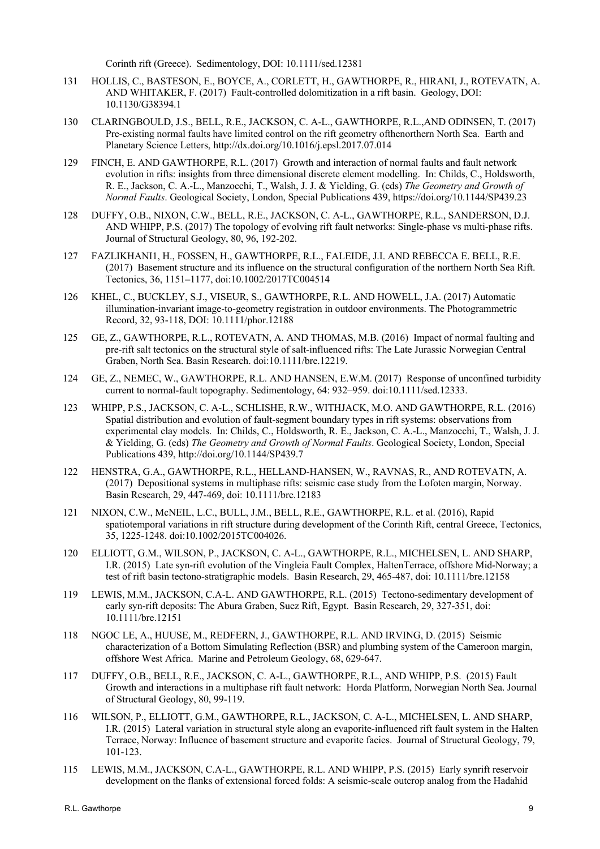Corinth rift (Greece). Sedimentology, DOI: 10.1111/sed.12381

- 131 HOLLIS, C., BASTESON, E., BOYCE, A., CORLETT, H., GAWTHORPE, R., HIRANI, J., ROTEVATN, A. AND WHITAKER, F. (2017) Fault-controlled dolomitization in a rift basin. Geology, DOI: 10.1130/G38394.1
- 130 CLARINGBOULD, J.S., BELL, R.E., JACKSON, C. A-L., GAWTHORPE, R.L.,AND ODINSEN, T. (2017) Pre-existing normal faults have limited control on the rift geometry ofthenorthern North Sea. Earth and Planetary Science Letters, http://dx.doi.org/10.1016/j.epsl.2017.07.014
- 129 FINCH, E. AND GAWTHORPE, R.L. (2017) Growth and interaction of normal faults and fault network evolution in rifts: insights from three dimensional discrete element modelling. In: Childs, C., Holdsworth, R. E., Jackson, C. A.-L., Manzocchi, T., Walsh, J. J. & Yielding, G. (eds) *The Geometry and Growth of Normal Faults*. Geological Society, London, Special Publications 439, https://doi.org/10.1144/SP439.23
- 128 DUFFY, O.B., NIXON, C.W., BELL, R.E., JACKSON, C. A-L., GAWTHORPE, R.L., SANDERSON, D.J. AND WHIPP, P.S. (2017) The topology of evolving rift fault networks: Single-phase vs multi-phase rifts. Journal of Structural Geology, 80, 96, 192-202.
- 127 FAZLIKHANI1, H., FOSSEN, H., GAWTHORPE, R.L., FALEIDE, J.I. AND REBECCA E. BELL, R.E. (2017) Basement structure and its influence on the structural configuration of the northern North Sea Rift. Tectonics, 36, 1151**–**1177, doi:10.1002/2017TC004514
- 126 KHEL, C., BUCKLEY, S.J., VISEUR, S., GAWTHORPE, R.L. AND HOWELL, J.A. (2017) Automatic illumination-invariant image-to-geometry registration in outdoor environments. The Photogrammetric Record, 32, 93-118, DOI: 10.1111/phor.12188
- 125 GE, Z., GAWTHORPE, R.L., ROTEVATN, A. AND THOMAS, M.B. (2016) Impact of normal faulting and pre-rift salt tectonics on the structural style of salt-influenced rifts: The Late Jurassic Norwegian Central Graben, North Sea. Basin Research. doi:10.1111/bre.12219.
- 124 GE, Z., NEMEC, W., GAWTHORPE, R.L. AND HANSEN, E.W.M. (2017) Response of unconfined turbidity current to normal-fault topography. Sedimentology, 64: 932–959. doi:10.1111/sed.12333.
- 123 WHIPP, P.S., JACKSON, C. A-L., SCHLISHE, R.W., WITHJACK, M.O. AND GAWTHORPE, R.L. (2016) Spatial distribution and evolution of fault-segment boundary types in rift systems: observations from experimental clay models. In: Childs, C., Holdsworth, R. E., Jackson, C. A.-L., Manzocchi, T., Walsh, J. J. & Yielding, G. (eds) *The Geometry and Growth of Normal Faults*. Geological Society, London, Special Publications 439, http://doi.org/10.1144/SP439.7
- 122 HENSTRA, G.A., GAWTHORPE, R.L., HELLAND-HANSEN, W., RAVNAS, R., AND ROTEVATN, A. (2017) Depositional systems in multiphase rifts: seismic case study from the Lofoten margin, Norway. Basin Research, 29, 447-469, doi: 10.1111/bre.12183
- 121 NIXON, C.W., McNEIL, L.C., BULL, J.M., BELL, R.E., GAWTHORPE, R.L. et al. (2016), Rapid spatiotemporal variations in rift structure during development of the Corinth Rift, central Greece, Tectonics, 35, 1225-1248. doi:10.1002/2015TC004026.
- 120 ELLIOTT, G.M., WILSON, P., JACKSON, C. A-L., GAWTHORPE, R.L., MICHELSEN, L. AND SHARP, I.R. (2015) Late syn-rift evolution of the Vingleia Fault Complex, HaltenTerrace, offshore Mid-Norway; a test of rift basin tectono-stratigraphic models. Basin Research, 29, 465-487, doi: 10.1111/bre.12158
- 119 LEWIS, M.M., JACKSON, C.A-L. AND GAWTHORPE, R.L. (2015) Tectono-sedimentary development of early syn-rift deposits: The Abura Graben, Suez Rift, Egypt. Basin Research, 29, 327-351, doi: 10.1111/bre.12151
- 118 NGOC LE, A., HUUSE, M., REDFERN, J., GAWTHORPE, R.L. AND IRVING, D. (2015) Seismic characterization of a Bottom Simulating Reflection (BSR) and plumbing system of the Cameroon margin, offshore West Africa. Marine and Petroleum Geology, 68, 629-647.
- 117 DUFFY, O.B., BELL, R.E., JACKSON, C. A-L., GAWTHORPE, R.L., AND WHIPP, P.S. (2015) Fault Growth and interactions in a multiphase rift fault network: Horda Platform, Norwegian North Sea. Journal of Structural Geology, 80, 99-119.
- 116 WILSON, P., ELLIOTT, G.M., GAWTHORPE, R.L., JACKSON, C. A-L., MICHELSEN, L. AND SHARP, I.R. (2015) Lateral variation in structural style along an evaporite-influenced rift fault system in the Halten Terrace, Norway: Influence of basement structure and evaporite facies. Journal of Structural Geology, 79, 101-123.
- 115 LEWIS, M.M., JACKSON, C.A-L., GAWTHORPE, R.L. AND WHIPP, P.S. (2015) Early synrift reservoir development on the flanks of extensional forced folds: A seismic-scale outcrop analog from the Hadahid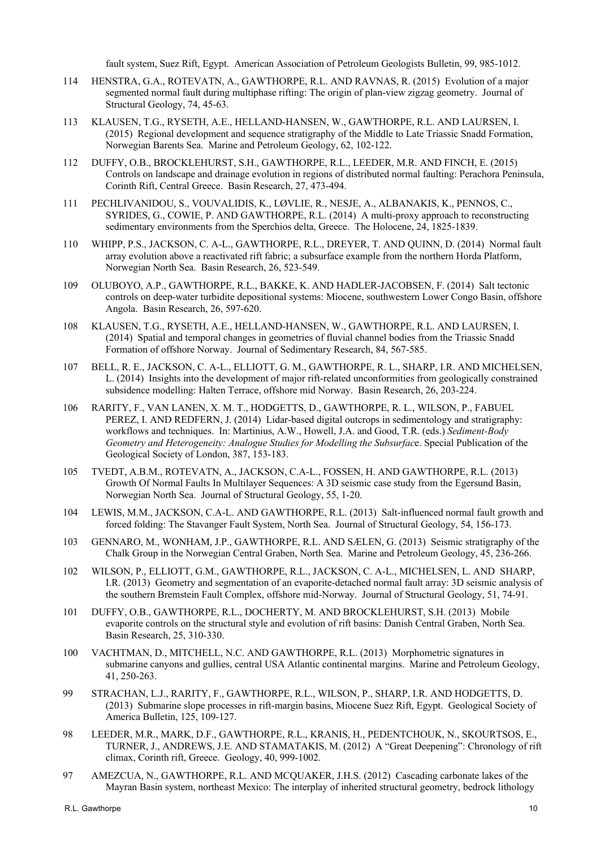fault system, Suez Rift, Egypt. American Association of Petroleum Geologists Bulletin, 99, 985-1012.

- 114 HENSTRA, G.A., ROTEVATN, A., GAWTHORPE, R.L. AND RAVNAS, R. (2015) Evolution of a major segmented normal fault during multiphase rifting: The origin of plan-view zigzag geometry. Journal of Structural Geology, 74, 45-63.
- 113 KLAUSEN, T.G., RYSETH, A.E., HELLAND-HANSEN, W., GAWTHORPE, R.L. AND LAURSEN, I. (2015) Regional development and sequence stratigraphy of the Middle to Late Triassic Snadd Formation, Norwegian Barents Sea. Marine and Petroleum Geology, 62, 102-122.
- 112 DUFFY, O.B., BROCKLEHURST, S.H., GAWTHORPE, R.L., LEEDER, M.R. AND FINCH, E. (2015) Controls on landscape and drainage evolution in regions of distributed normal faulting: Perachora Peninsula, Corinth Rift, Central Greece. Basin Research, 27, 473-494.
- 111 PECHLIVANIDOU, S., VOUVALIDIS, K., LØVLIE, R., NESJE, A., ALBANAKIS, K., PENNOS, C., SYRIDES, G., COWIE, P. AND GAWTHORPE, R.L. (2014) A multi-proxy approach to reconstructing sedimentary environments from the Sperchios delta, Greece. The Holocene, 24, 1825-1839.
- 110 WHIPP, P.S., JACKSON, C. A-L., GAWTHORPE, R.L., DREYER, T. AND QUINN, D. (2014) Normal fault array evolution above a reactivated rift fabric; a subsurface example from the northern Horda Platform, Norwegian North Sea. Basin Research, 26, 523-549.
- 109 OLUBOYO, A.P., GAWTHORPE, R.L., BAKKE, K. AND HADLER-JACOBSEN, F. (2014) Salt tectonic controls on deep-water turbidite depositional systems: Miocene, southwestern Lower Congo Basin, offshore Angola. Basin Research, 26, 597-620.
- 108 KLAUSEN, T.G., RYSETH, A.E., HELLAND-HANSEN, W., GAWTHORPE, R.L. AND LAURSEN, I. (2014) Spatial and temporal changes in geometries of fluvial channel bodies from the Triassic Snadd Formation of offshore Norway. Journal of Sedimentary Research, 84, 567-585.
- 107 BELL, R. E., JACKSON, C. A-L., ELLIOTT, G. M., GAWTHORPE, R. L., SHARP, I.R. AND MICHELSEN, L. (2014) Insights into the development of major rift-related unconformities from geologically constrained subsidence modelling: Halten Terrace, offshore mid Norway. Basin Research, 26, 203-224.
- 106 RARITY, F., VAN LANEN, X. M. T., HODGETTS, D., GAWTHORPE, R. L., WILSON, P., FABUEL PEREZ, I. AND REDFERN, J. (2014) Lidar-based digital outcrops in sedimentology and stratigraphy: workflows and techniques. In: Martinius, A.W., Howell, J.A. and Good, T.R. (eds.) *Sediment-Body Geometry and Heterogeneity: Analogue Studies for Modelling the Subsurfac*e. Special Publication of the Geological Society of London, 387, 153-183.
- 105 TVEDT, A.B.M., ROTEVATN, A., JACKSON, C.A-L., FOSSEN, H. AND GAWTHORPE, R.L. (2013) Growth Of Normal Faults In Multilayer Sequences: A 3D seismic case study from the Egersund Basin, Norwegian North Sea. Journal of Structural Geology, 55, 1-20.
- 104 LEWIS, M.M., JACKSON, C.A-L. AND GAWTHORPE, R.L. (2013) Salt-influenced normal fault growth and forced folding: The Stavanger Fault System, North Sea. Journal of Structural Geology, 54, 156-173.
- 103 GENNARO, M., WONHAM, J.P., GAWTHORPE, R.L. AND SÆLEN, G. (2013) Seismic stratigraphy of the Chalk Group in the Norwegian Central Graben, North Sea. Marine and Petroleum Geology, 45, 236-266.
- 102 WILSON, P., ELLIOTT, G.M., GAWTHORPE, R.L., JACKSON, C. A-L., MICHELSEN, L. AND SHARP, I.R. (2013) Geometry and segmentation of an evaporite-detached normal fault array: 3D seismic analysis of the southern Bremstein Fault Complex, offshore mid-Norway. Journal of Structural Geology, 51, 74-91.
- 101 DUFFY, O.B., GAWTHORPE, R.L., DOCHERTY, M. AND BROCKLEHURST, S.H. (2013) Mobile evaporite controls on the structural style and evolution of rift basins: Danish Central Graben, North Sea. Basin Research, 25, 310-330.
- 100 VACHTMAN, D., MITCHELL, N.C. AND GAWTHORPE, R.L. (2013) Morphometric signatures in submarine canyons and gullies, central USA Atlantic continental margins. Marine and Petroleum Geology, 41, 250-263.
- 99 STRACHAN, L.J., RARITY, F., GAWTHORPE, R.L., WILSON, P., SHARP, I.R. AND HODGETTS, D. (2013) Submarine slope processes in rift-margin basins, Miocene Suez Rift, Egypt. Geological Society of America Bulletin, 125, 109-127.
- 98 LEEDER, M.R., MARK, D.F., GAWTHORPE, R.L., KRANIS, H., PEDENTCHOUK, N., SKOURTSOS, E., TURNER, J., ANDREWS, J.E. AND STAMATAKIS, M. (2012) A "Great Deepening": Chronology of rift climax, Corinth rift, Greece. Geology, 40, 999-1002.
- 97 AMEZCUA, N., GAWTHORPE, R.L. AND MCQUAKER, J.H.S. (2012) Cascading carbonate lakes of the Mayran Basin system, northeast Mexico: The interplay of inherited structural geometry, bedrock lithology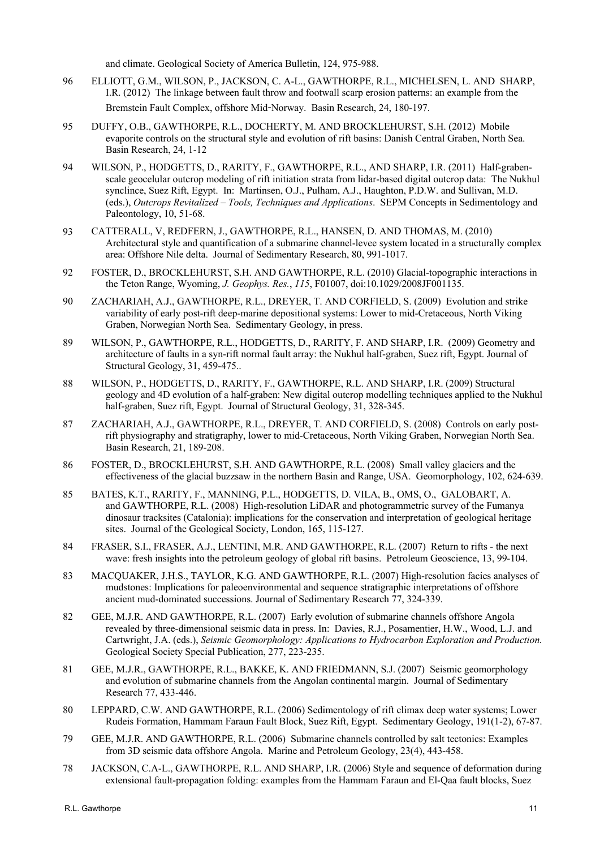and climate. Geological Society of America Bulletin, 124, 975-988.

- 96 ELLIOTT, G.M., WILSON, P., JACKSON, C. A-L., GAWTHORPE, R.L., MICHELSEN, L. AND SHARP, I.R. (2012) The linkage between fault throw and footwall scarp erosion patterns: an example from the Bremstein Fault Complex, offshore Mid-Norway. Basin Research, 24, 180-197.
- 95 DUFFY, O.B., GAWTHORPE, R.L., DOCHERTY, M. AND BROCKLEHURST, S.H. (2012) Mobile evaporite controls on the structural style and evolution of rift basins: Danish Central Graben, North Sea. Basin Research, 24, 1-12
- 94 WILSON, P., HODGETTS, D., RARITY, F., GAWTHORPE, R.L., AND SHARP, I.R. (2011) Half-grabenscale geocelular outcrop modeling of rift initiation strata from lidar-based digital outcrop data: The Nukhul synclince, Suez Rift, Egypt. In: Martinsen, O.J., Pulham, A.J., Haughton, P.D.W. and Sullivan, M.D. (eds.), *Outcrops Revitalized – Tools, Techniques and Applications*. SEPM Concepts in Sedimentology and Paleontology, 10, 51-68.
- 93 CATTERALL, V, REDFERN, J., GAWTHORPE, R.L., HANSEN, D. AND THOMAS, M. (2010) Architectural style and quantification of a submarine channel-levee system located in a structurally complex area: Offshore Nile delta. Journal of Sedimentary Research, 80, 991-1017.
- 92 FOSTER, D., BROCKLEHURST, S.H. AND GAWTHORPE, R.L. (2010) Glacial-topographic interactions in the Teton Range, Wyoming, *J. Geophys. Res.*, *115*, F01007, doi:10.1029/2008JF001135.
- 90 ZACHARIAH, A.J., GAWTHORPE, R.L., DREYER, T. AND CORFIELD, S. (2009) Evolution and strike variability of early post-rift deep-marine depositional systems: Lower to mid-Cretaceous, North Viking Graben, Norwegian North Sea. Sedimentary Geology, in press.
- 89 WILSON, P., GAWTHORPE, R.L., HODGETTS, D., RARITY, F. AND SHARP, I.R. (2009) Geometry and architecture of faults in a syn-rift normal fault array: the Nukhul half-graben, Suez rift, Egypt. Journal of Structural Geology, 31, 459-475..
- 88 WILSON, P., HODGETTS, D., RARITY, F., GAWTHORPE, R.L. AND SHARP, I.R. (2009) Structural geology and 4D evolution of a half-graben: New digital outcrop modelling techniques applied to the Nukhul half-graben, Suez rift, Egypt. Journal of Structural Geology, 31, 328-345.
- 87 ZACHARIAH, A.J., GAWTHORPE, R.L., DREYER, T. AND CORFIELD, S. (2008) Controls on early postrift physiography and stratigraphy, lower to mid-Cretaceous, North Viking Graben, Norwegian North Sea. Basin Research, 21, 189-208.
- 86 FOSTER, D., BROCKLEHURST, S.H. AND GAWTHORPE, R.L. (2008) Small valley glaciers and the effectiveness of the glacial buzzsaw in the northern Basin and Range, USA. Geomorphology, 102, 624-639.
- 85 BATES, K.T., RARITY, F., MANNING, P.L., HODGETTS, D. VILA, B., OMS, O., GALOBART, A. and GAWTHORPE, R.L. (2008) High-resolution LiDAR and photogrammetric survey of the Fumanya dinosaur tracksites (Catalonia): implications for the conservation and interpretation of geological heritage sites. Journal of the Geological Society, London, 165, 115-127.
- 84 FRASER, S.I., FRASER, A.J., LENTINI, M.R. AND GAWTHORPE, R.L. (2007) Return to rifts the next wave: fresh insights into the petroleum geology of global rift basins. Petroleum Geoscience, 13, 99-104.
- 83 MACQUAKER, J.H.S., TAYLOR, K.G. AND GAWTHORPE, R.L. (2007) High-resolution facies analyses of mudstones: Implications for paleoenvironmental and sequence stratigraphic interpretations of offshore ancient mud-dominated successions. Journal of Sedimentary Research 77, 324-339.
- 82 GEE, M.J.R. AND GAWTHORPE, R.L. (2007) Early evolution of submarine channels offshore Angola revealed by three-dimensional seismic data in press. In: Davies, R.J., Posamentier, H.W., Wood, L.J. and Cartwright, J.A. (eds.), *Seismic Geomorphology: Applications to Hydrocarbon Exploration and Production.* Geological Society Special Publication, 277, 223-235.
- 81 GEE, M.J.R., GAWTHORPE, R.L., BAKKE, K. AND FRIEDMANN, S.J. (2007) Seismic geomorphology and evolution of submarine channels from the Angolan continental margin. Journal of Sedimentary Research 77, 433-446.
- 80 LEPPARD, C.W. AND GAWTHORPE, R.L. (2006) Sedimentology of rift climax deep water systems; Lower Rudeis Formation, Hammam Faraun Fault Block, Suez Rift, Egypt. Sedimentary Geology, 191(1-2), 67-87.
- 79 GEE, M.J.R. AND GAWTHORPE, R.L. (2006) Submarine channels controlled by salt tectonics: Examples from 3D seismic data offshore Angola. Marine and Petroleum Geology, 23(4), 443-458.
- 78 JACKSON, C.A-L., GAWTHORPE, R.L. AND SHARP, I.R. (2006) Style and sequence of deformation during extensional fault-propagation folding: examples from the Hammam Faraun and El-Qaa fault blocks, Suez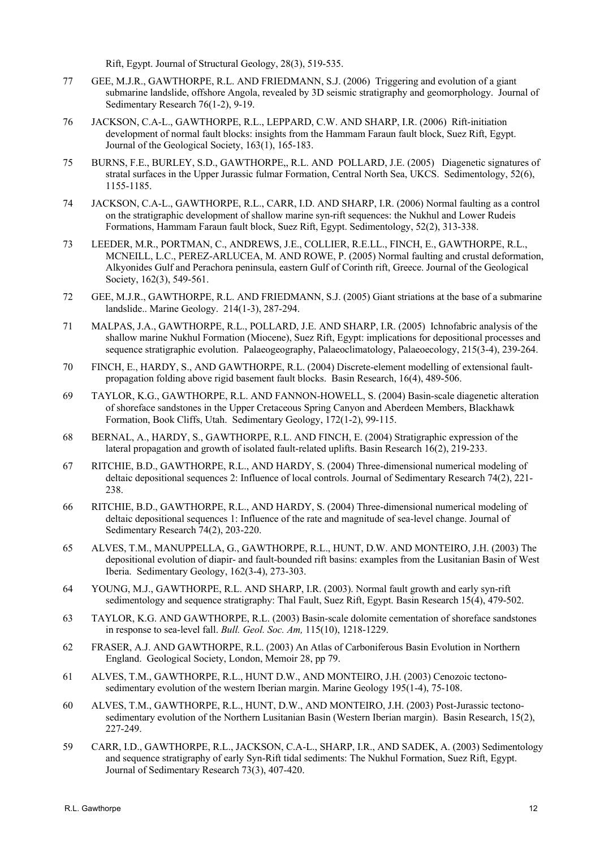Rift, Egypt. Journal of Structural Geology, 28(3), 519-535.

- 77 GEE, M.J.R., GAWTHORPE, R.L. AND FRIEDMANN, S.J. (2006) Triggering and evolution of a giant submarine landslide, offshore Angola, revealed by 3D seismic stratigraphy and geomorphology. Journal of Sedimentary Research 76(1-2), 9-19.
- 76 JACKSON, C.A-L., GAWTHORPE, R.L., LEPPARD, C.W. AND SHARP, I.R. (2006) Rift-initiation development of normal fault blocks: insights from the Hammam Faraun fault block, Suez Rift, Egypt. Journal of the Geological Society, 163(1), 165-183.
- 75 BURNS, F.E., BURLEY, S.D., GAWTHORPE,, R.L. AND POLLARD, J.E. (2005) Diagenetic signatures of stratal surfaces in the Upper Jurassic fulmar Formation, Central North Sea, UKCS. Sedimentology, 52(6), 1155-1185.
- 74 JACKSON, C.A-L., GAWTHORPE, R.L., CARR, I.D. AND SHARP, I.R. (2006) Normal faulting as a control on the stratigraphic development of shallow marine syn-rift sequences: the Nukhul and Lower Rudeis Formations, Hammam Faraun fault block, Suez Rift, Egypt. Sedimentology, 52(2), 313-338.
- 73 LEEDER, M.R., PORTMAN, C., ANDREWS, J.E., COLLIER, R.E.LL., FINCH, E., GAWTHORPE, R.L., MCNEILL, L.C., PEREZ-ARLUCEA, M. AND ROWE, P. (2005) Normal faulting and crustal deformation, Alkyonides Gulf and Perachora peninsula, eastern Gulf of Corinth rift, Greece. Journal of the Geological Society, 162(3), 549-561.
- 72 GEE, M.J.R., GAWTHORPE, R.L. AND FRIEDMANN, S.J. (2005) Giant striations at the base of a submarine landslide.. Marine Geology. 214(1-3), 287-294.
- 71 MALPAS, J.A., GAWTHORPE, R.L., POLLARD, J.E. AND SHARP, I.R. (2005) Ichnofabric analysis of the shallow marine Nukhul Formation (Miocene), Suez Rift, Egypt: implications for depositional processes and sequence stratigraphic evolution. Palaeogeography, Palaeoclimatology, Palaeoecology, 215(3-4), 239-264.
- 70 FINCH, E., HARDY, S., AND GAWTHORPE, R.L. (2004) Discrete-element modelling of extensional faultpropagation folding above rigid basement fault blocks. Basin Research, 16(4), 489-506.
- 69 TAYLOR, K.G., GAWTHORPE, R.L. AND FANNON-HOWELL, S. (2004) Basin-scale diagenetic alteration of shoreface sandstones in the Upper Cretaceous Spring Canyon and Aberdeen Members, Blackhawk Formation, Book Cliffs, Utah. Sedimentary Geology, 172(1-2), 99-115.
- 68 BERNAL, A., HARDY, S., GAWTHORPE, R.L. AND FINCH, E. (2004) Stratigraphic expression of the lateral propagation and growth of isolated fault-related uplifts. Basin Research 16(2), 219-233.
- 67 RITCHIE, B.D., GAWTHORPE, R.L., AND HARDY, S. (2004) Three-dimensional numerical modeling of deltaic depositional sequences 2: Influence of local controls. Journal of Sedimentary Research 74(2), 221- 238.
- 66 RITCHIE, B.D., GAWTHORPE, R.L., AND HARDY, S. (2004) Three-dimensional numerical modeling of deltaic depositional sequences 1: Influence of the rate and magnitude of sea-level change. Journal of Sedimentary Research 74(2), 203-220.
- 65 ALVES, T.M., MANUPPELLA, G., GAWTHORPE, R.L., HUNT, D.W. AND MONTEIRO, J.H. (2003) The depositional evolution of diapir- and fault-bounded rift basins: examples from the Lusitanian Basin of West Iberia. Sedimentary Geology, 162(3-4), 273-303.
- 64 YOUNG, M.J., GAWTHORPE, R.L. AND SHARP, I.R. (2003). Normal fault growth and early syn-rift sedimentology and sequence stratigraphy: Thal Fault, Suez Rift, Egypt. Basin Research 15(4), 479-502.
- 63 TAYLOR, K.G. AND GAWTHORPE, R.L. (2003) Basin-scale dolomite cementation of shoreface sandstones in response to sea-level fall. *Bull. Geol. Soc. Am,* 115(10), 1218-1229.
- 62 FRASER, A.J. AND GAWTHORPE, R.L. (2003) An Atlas of Carboniferous Basin Evolution in Northern England. Geological Society, London, Memoir 28, pp 79.
- 61 ALVES, T.M., GAWTHORPE, R.L., HUNT D.W., AND MONTEIRO, J.H. (2003) Cenozoic tectonosedimentary evolution of the western Iberian margin. Marine Geology 195(1-4), 75-108.
- 60 ALVES, T.M., GAWTHORPE, R.L., HUNT, D.W., AND MONTEIRO, J.H. (2003) Post-Jurassic tectonosedimentary evolution of the Northern Lusitanian Basin (Western Iberian margin). Basin Research, 15(2), 227-249.
- 59 CARR, I.D., GAWTHORPE, R.L., JACKSON, C.A-L., SHARP, I.R., AND SADEK, A. (2003) Sedimentology and sequence stratigraphy of early Syn-Rift tidal sediments: The Nukhul Formation, Suez Rift, Egypt. Journal of Sedimentary Research 73(3), 407-420.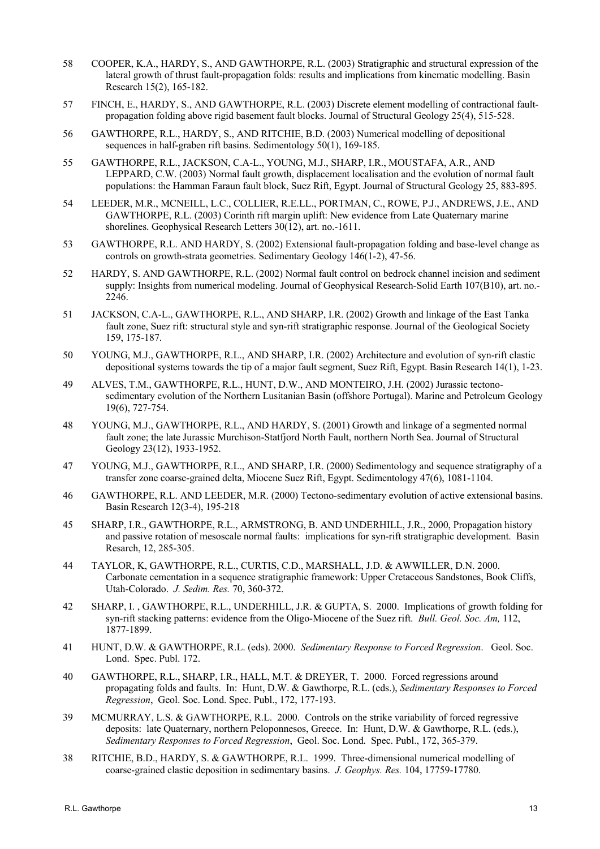- 58 COOPER, K.A., HARDY, S., AND GAWTHORPE, R.L. (2003) Stratigraphic and structural expression of the lateral growth of thrust fault-propagation folds: results and implications from kinematic modelling. Basin Research 15(2), 165-182.
- 57 FINCH, E., HARDY, S., AND GAWTHORPE, R.L. (2003) Discrete element modelling of contractional faultpropagation folding above rigid basement fault blocks. Journal of Structural Geology 25(4), 515-528.
- 56 GAWTHORPE, R.L., HARDY, S., AND RITCHIE, B.D. (2003) Numerical modelling of depositional sequences in half-graben rift basins. Sedimentology 50(1), 169-185.
- 55 GAWTHORPE, R.L., JACKSON, C.A-L., YOUNG, M.J., SHARP, I.R., MOUSTAFA, A.R., AND LEPPARD, C.W. (2003) Normal fault growth, displacement localisation and the evolution of normal fault populations: the Hamman Faraun fault block, Suez Rift, Egypt. Journal of Structural Geology 25, 883-895.
- 54 LEEDER, M.R., MCNEILL, L.C., COLLIER, R.E.LL., PORTMAN, C., ROWE, P.J., ANDREWS, J.E., AND GAWTHORPE, R.L. (2003) Corinth rift margin uplift: New evidence from Late Quaternary marine shorelines. Geophysical Research Letters 30(12), art. no.-1611.
- 53 GAWTHORPE, R.L. AND HARDY, S. (2002) Extensional fault-propagation folding and base-level change as controls on growth-strata geometries. Sedimentary Geology 146(1-2), 47-56.
- 52 HARDY, S. AND GAWTHORPE, R.L. (2002) Normal fault control on bedrock channel incision and sediment supply: Insights from numerical modeling. Journal of Geophysical Research-Solid Earth 107(B10), art. no.- 2246.
- 51 JACKSON, C.A-L., GAWTHORPE, R.L., AND SHARP, I.R. (2002) Growth and linkage of the East Tanka fault zone, Suez rift: structural style and syn-rift stratigraphic response. Journal of the Geological Society 159, 175-187.
- 50 YOUNG, M.J., GAWTHORPE, R.L., AND SHARP, I.R. (2002) Architecture and evolution of syn-rift clastic depositional systems towards the tip of a major fault segment, Suez Rift, Egypt. Basin Research 14(1), 1-23.
- 49 ALVES, T.M., GAWTHORPE, R.L., HUNT, D.W., AND MONTEIRO, J.H. (2002) Jurassic tectonosedimentary evolution of the Northern Lusitanian Basin (offshore Portugal). Marine and Petroleum Geology 19(6), 727-754.
- 48 YOUNG, M.J., GAWTHORPE, R.L., AND HARDY, S. (2001) Growth and linkage of a segmented normal fault zone; the late Jurassic Murchison-Statfjord North Fault, northern North Sea. Journal of Structural Geology 23(12), 1933-1952.
- 47 YOUNG, M.J., GAWTHORPE, R.L., AND SHARP, I.R. (2000) Sedimentology and sequence stratigraphy of a transfer zone coarse-grained delta, Miocene Suez Rift, Egypt. Sedimentology 47(6), 1081-1104.
- 46 GAWTHORPE, R.L. AND LEEDER, M.R. (2000) Tectono-sedimentary evolution of active extensional basins. Basin Research 12(3-4), 195-218
- 45 SHARP, I.R., GAWTHORPE, R.L., ARMSTRONG, B. AND UNDERHILL, J.R., 2000, Propagation history and passive rotation of mesoscale normal faults: implications for syn-rift stratigraphic development. Basin Resarch, 12, 285-305.
- 44 TAYLOR, K, GAWTHORPE, R.L., CURTIS, C.D., MARSHALL, J.D. & AWWILLER, D.N. 2000. Carbonate cementation in a sequence stratigraphic framework: Upper Cretaceous Sandstones, Book Cliffs, Utah-Colorado. *J. Sedim. Res.* 70, 360-372.
- 42 SHARP, I. , GAWTHORPE, R.L., UNDERHILL, J.R. & GUPTA, S. 2000. Implications of growth folding for syn-rift stacking patterns: evidence from the Oligo-Miocene of the Suez rift. *Bull. Geol. Soc. Am,* 112, 1877-1899.
- 41 HUNT, D.W. & GAWTHORPE, R.L. (eds). 2000. *Sedimentary Response to Forced Regression*. Geol. Soc. Lond. Spec. Publ. 172.
- 40 GAWTHORPE, R.L., SHARP, I.R., HALL, M.T. & DREYER, T. 2000. Forced regressions around propagating folds and faults. In: Hunt, D.W. & Gawthorpe, R.L. (eds.), *Sedimentary Responses to Forced Regression*, Geol. Soc. Lond. Spec. Publ., 172, 177-193.
- 39 MCMURRAY, L.S. & GAWTHORPE, R.L. 2000. Controls on the strike variability of forced regressive deposits: late Quaternary, northern Peloponnesos, Greece. In: Hunt, D.W. & Gawthorpe, R.L. (eds.), *Sedimentary Responses to Forced Regression*, Geol. Soc. Lond. Spec. Publ., 172, 365-379.
- 38 RITCHIE, B.D., HARDY, S. & GAWTHORPE, R.L. 1999. Three-dimensional numerical modelling of coarse-grained clastic deposition in sedimentary basins. *J. Geophys. Res.* 104, 17759-17780.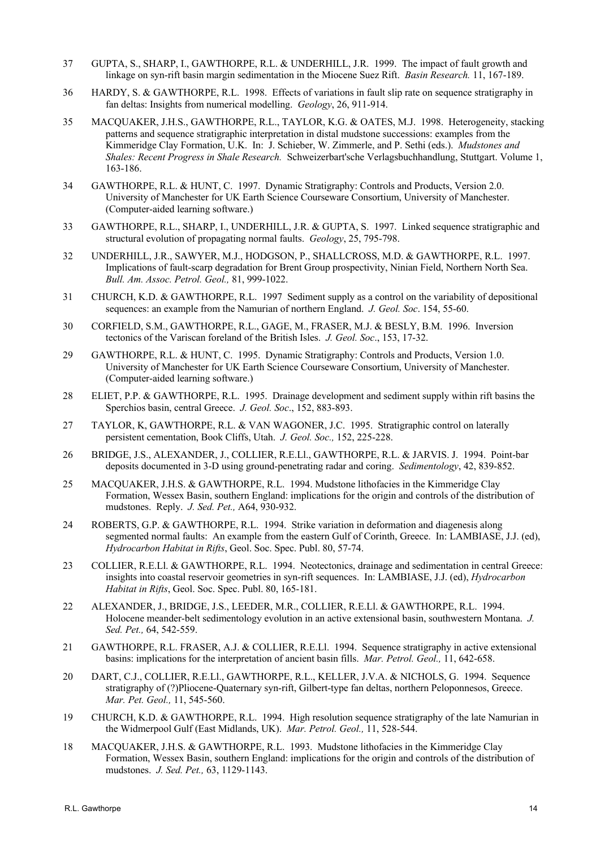- 37 GUPTA, S., SHARP, I., GAWTHORPE, R.L. & UNDERHILL, J.R. 1999. The impact of fault growth and linkage on syn-rift basin margin sedimentation in the Miocene Suez Rift. *Basin Research.* 11, 167-189.
- 36 HARDY, S. & GAWTHORPE, R.L. 1998. Effects of variations in fault slip rate on sequence stratigraphy in fan deltas: Insights from numerical modelling. *Geology*, 26, 911-914.
- 35 MACQUAKER, J.H.S., GAWTHORPE, R.L., TAYLOR, K.G. & OATES, M.J. 1998. Heterogeneity, stacking patterns and sequence stratigraphic interpretation in distal mudstone successions: examples from the Kimmeridge Clay Formation, U.K. In: J. Schieber, W. Zimmerle, and P. Sethi (eds.). *Mudstones and Shales: Recent Progress in Shale Research.* Schweizerbart'sche Verlagsbuchhandlung, Stuttgart. Volume 1, 163-186.
- 34 GAWTHORPE, R.L. & HUNT, C. 1997. Dynamic Stratigraphy: Controls and Products, Version 2.0. University of Manchester for UK Earth Science Courseware Consortium, University of Manchester. (Computer-aided learning software.)
- 33 GAWTHORPE, R.L., SHARP, I., UNDERHILL, J.R. & GUPTA, S. 1997. Linked sequence stratigraphic and structural evolution of propagating normal faults. *Geology*, 25, 795-798.
- 32 UNDERHILL, J.R., SAWYER, M.J., HODGSON, P., SHALLCROSS, M.D. & GAWTHORPE, R.L. 1997. Implications of fault-scarp degradation for Brent Group prospectivity, Ninian Field, Northern North Sea. *Bull. Am. Assoc. Petrol. Geol.,* 81, 999-1022.
- 31 CHURCH, K.D. & GAWTHORPE, R.L. 1997 Sediment supply as a control on the variability of depositional sequences: an example from the Namurian of northern England. *J. Geol. Soc*. 154, 55-60.
- 30 CORFIELD, S.M., GAWTHORPE, R.L., GAGE, M., FRASER, M.J. & BESLY, B.M. 1996. Inversion tectonics of the Variscan foreland of the British Isles. *J. Geol. Soc*., 153, 17-32.
- 29 GAWTHORPE, R.L. & HUNT, C. 1995. Dynamic Stratigraphy: Controls and Products, Version 1.0. University of Manchester for UK Earth Science Courseware Consortium, University of Manchester. (Computer-aided learning software.)
- 28 ELIET, P.P. & GAWTHORPE, R.L. 1995. Drainage development and sediment supply within rift basins the Sperchios basin, central Greece. *J. Geol. Soc*., 152, 883-893.
- 27 TAYLOR, K, GAWTHORPE, R.L. & VAN WAGONER, J.C. 1995. Stratigraphic control on laterally persistent cementation, Book Cliffs, Utah. *J. Geol. Soc.,* 152, 225-228.
- 26 BRIDGE, J.S., ALEXANDER, J., COLLIER, R.E.Ll., GAWTHORPE, R.L. & JARVIS. J. 1994. Point-bar deposits documented in 3-D using ground-penetrating radar and coring. *Sedimentology*, 42, 839-852.
- 25 MACQUAKER, J.H.S. & GAWTHORPE, R.L. 1994. Mudstone lithofacies in the Kimmeridge Clay Formation, Wessex Basin, southern England: implications for the origin and controls of the distribution of mudstones. Reply. *J. Sed. Pet.,* A64, 930-932.
- 24 ROBERTS, G.P. & GAWTHORPE, R.L. 1994. Strike variation in deformation and diagenesis along segmented normal faults: An example from the eastern Gulf of Corinth, Greece. In: LAMBIASE, J.J. (ed), *Hydrocarbon Habitat in Rifts*, Geol. Soc. Spec. Publ. 80, 57-74.
- 23 COLLIER, R.E.Ll. & GAWTHORPE, R.L. 1994. Neotectonics, drainage and sedimentation in central Greece: insights into coastal reservoir geometries in syn-rift sequences. In: LAMBIASE, J.J. (ed), *Hydrocarbon Habitat in Rifts*, Geol. Soc. Spec. Publ. 80, 165-181.
- 22 ALEXANDER, J., BRIDGE, J.S., LEEDER, M.R., COLLIER, R.E.Ll. & GAWTHORPE, R.L. 1994. Holocene meander-belt sedimentology evolution in an active extensional basin, southwestern Montana. *J. Sed. Pet.,* 64, 542-559.
- 21 GAWTHORPE, R.L. FRASER, A.J. & COLLIER, R.E.Ll. 1994. Sequence stratigraphy in active extensional basins: implications for the interpretation of ancient basin fills. *Mar. Petrol. Geol.,* 11, 642-658.
- 20 DART, C.J., COLLIER, R.E.Ll., GAWTHORPE, R.L., KELLER, J.V.A. & NICHOLS, G. 1994. Sequence stratigraphy of (?)Pliocene-Quaternary syn-rift, Gilbert-type fan deltas, northern Peloponnesos, Greece. *Mar. Pet. Geol.,* 11, 545-560.
- 19 CHURCH, K.D. & GAWTHORPE, R.L. 1994. High resolution sequence stratigraphy of the late Namurian in the Widmerpool Gulf (East Midlands, UK). *Mar. Petrol. Geol.,* 11, 528-544.
- 18 MACQUAKER, J.H.S. & GAWTHORPE, R.L. 1993. Mudstone lithofacies in the Kimmeridge Clay Formation, Wessex Basin, southern England: implications for the origin and controls of the distribution of mudstones. *J. Sed. Pet.,* 63, 1129-1143.